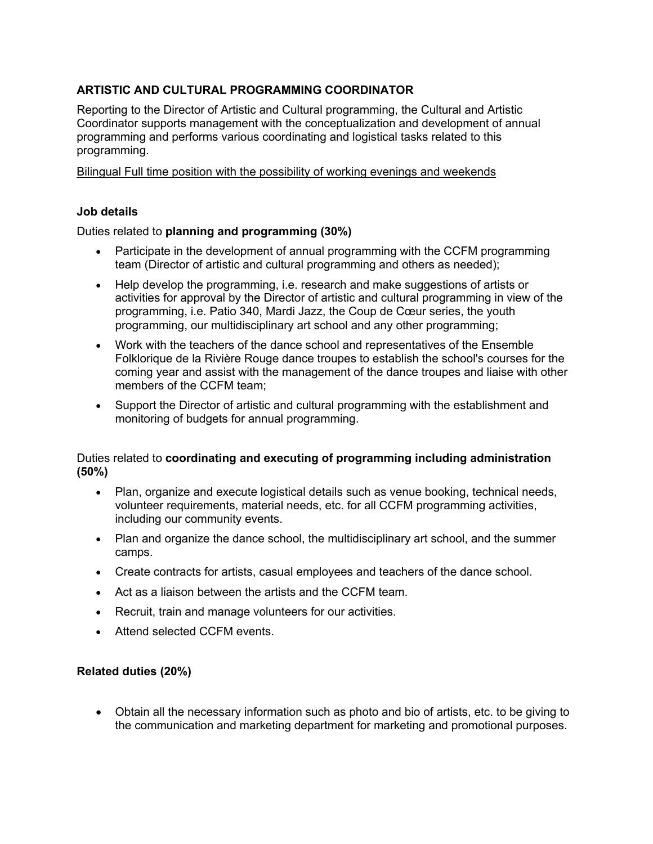## **ARTISTIC AND CULTURAL PROGRAMMING COORDINATOR**

Reporting to the Director of Artistic and Cultural programming, the Cultural and Artistic Coordinator supports management with the conceptualization and development of annual programming and performs various coordinating and logistical tasks related to this programming.

Bilingual Full time position with the possibility of working evenings and weekends

## **Job details**

## Duties related to **planning and programming (30%)**

- Participate in the development of annual programming with the CCFM programming team (Director of artistic and cultural programming and others as needed);
- Help develop the programming, i.e. research and make suggestions of artists or activities for approval by the Director of artistic and cultural programming in view of the programming, i.e. Patio 340, Mardi Jazz, the Coup de Cœur series, the youth programming, our multidisciplinary art school and any other programming;
- Work with the teachers of the dance school and representatives of the Ensemble Folklorique de la Rivière Rouge dance troupes to establish the school's courses for the coming year and assist with the management of the dance troupes and liaise with other members of the CCFM team;
- Support the Director of artistic and cultural programming with the establishment and monitoring of budgets for annual programming.

### Duties related to **coordinating and executing of programming including administration (50%)**

- Plan, organize and execute logistical details such as venue booking, technical needs, volunteer requirements, material needs, etc. for all CCFM programming activities, including our community events.
- Plan and organize the dance school, the multidisciplinary art school, and the summer camps.
- Create contracts for artists, casual employees and teachers of the dance school.
- Act as a liaison between the artists and the CCFM team.
- Recruit, train and manage volunteers for our activities.
- Attend selected CCFM events.

## **Related duties (20%)**

• Obtain all the necessary information such as photo and bio of artists, etc. to be giving to the communication and marketing department for marketing and promotional purposes.